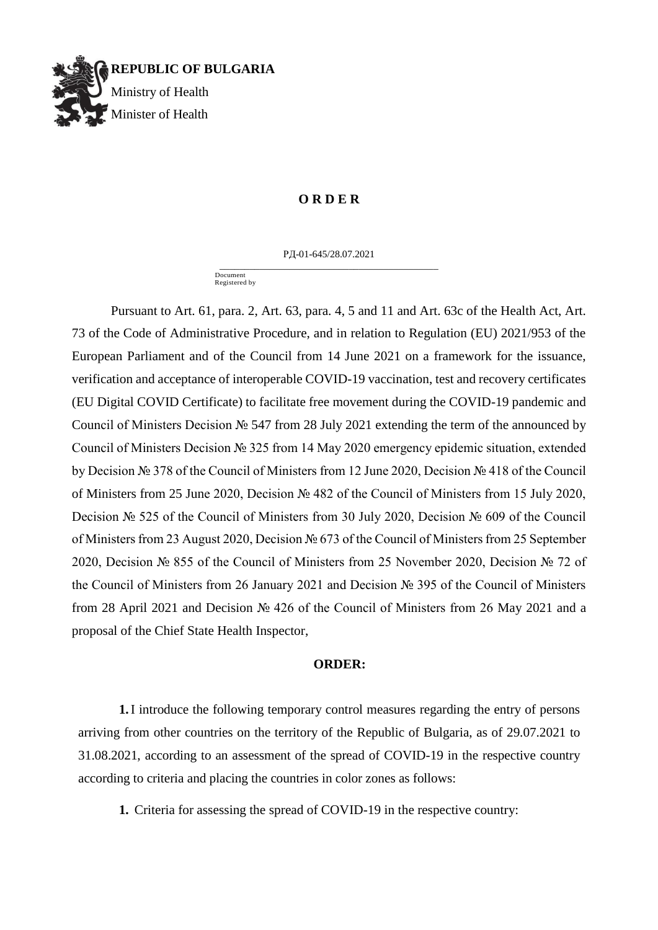

# **O R D E R**

РД-01-645/28.07.2021 \_\_\_\_\_\_\_\_\_\_\_\_\_\_\_\_\_\_\_\_\_\_\_\_\_\_\_\_\_\_\_\_\_\_\_\_\_\_\_\_\_\_\_\_

 Document Registered by

Pursuant to Art. 61, para. 2, Art. 63, para. 4, 5 and 11 and Art. 63c of the Health Act, Art. 73 of the Code of Administrative Procedure, and in relation to Regulation (EU) 2021/953 of the European Parliament and of the Council from 14 June 2021 on a framework for the issuance, verification and acceptance of interoperable COVID-19 vaccination, test and recovery certificates (EU Digital COVID Certificate) to facilitate free movement during the COVID-19 pandemic and Council of Ministers Decision № 547 from 28 July 2021 extending the term of the announced by Council of Ministers Decision № 325 from 14 May 2020 emergency epidemic situation, extended by Decision № 378 of the Council of Ministers from 12 June 2020, Decision № 418 of the Council of Ministers from 25 June 2020, Decision № 482 of the Council of Ministers from 15 July 2020, Decision № 525 of the Council of Ministers from 30 July 2020, Decision № 609 of the Council of Ministers from 23 August 2020, Decision № 673 of the Council of Ministers from 25 September 2020, Decision № 855 of the Council of Ministers from 25 November 2020, Decision № 72 of the Council of Ministers from 26 January 2021 and Decision № 395 of the Council of Ministers from 28 April 2021 and Decision № 426 of the Council of Ministers from 26 May 2021 and a proposal of the Chief State Health Inspector,

### **ORDER:**

**1.**I introduce the following temporary control measures regarding the entry of persons arriving from other countries on the territory of the Republic of Bulgaria, as of 29.07.2021 to 31.08.2021, according to an assessment of the spread of COVID-19 in the respective country according to criteria and placing the countries in color zones as follows:

**1.** Criteria for assessing the spread of COVID-19 in the respective country: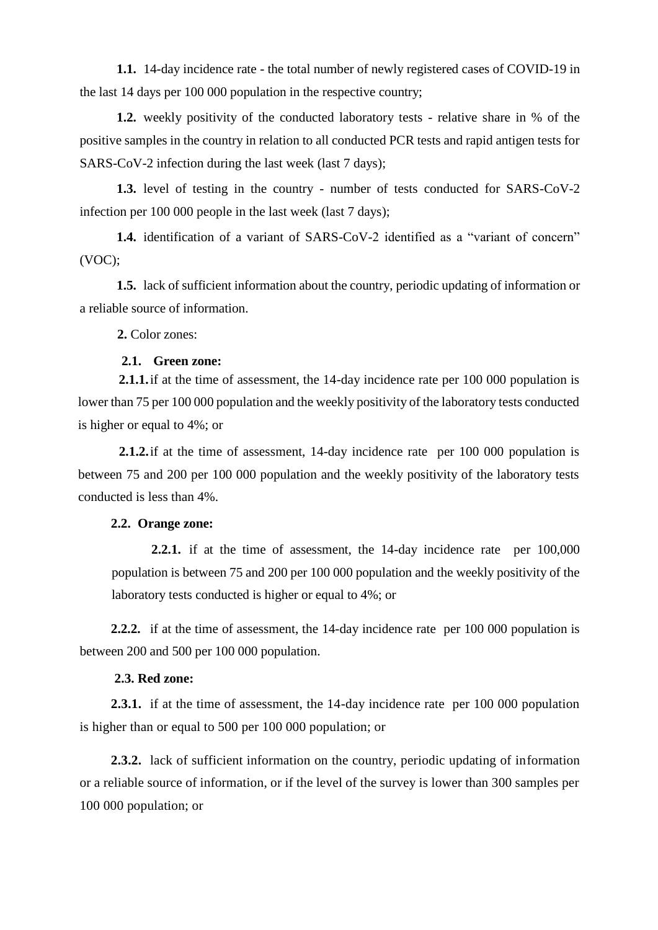**1.1.** 14-day incidence rate - the total number of newly registered cases of COVID-19 in the last 14 days per 100 000 population in the respective country;

**1.2.** weekly positivity of the conducted laboratory tests - relative share in % of the positive samples in the country in relation to all conducted PCR tests and rapid antigen tests for SARS-CoV-2 infection during the last week (last 7 days);

**1.3.** level of testing in the country - number of tests conducted for SARS-CoV-2 infection per 100 000 people in the last week (last 7 days);

**1.4.** identification of a variant of SARS-CoV-2 identified as a "variant of concern" (VOC);

**1.5.** lack of sufficient information about the country, periodic updating of information or a reliable source of information.

**2.** Color zones:

# **2.1. Green zone:**

**2.1.1.**if at the time of assessment, the 14-day incidence rate per 100 000 population is lower than 75 per 100 000 population and the weekly positivity of the laboratory tests conducted is higher or equal to 4%; or

**2.1.2.**if at the time of assessment, 14-day incidence rate per 100 000 population is between 75 and 200 per 100 000 population and the weekly positivity of the laboratory tests conducted is less than 4%.

# **2.2. Orange zone:**

**2.2.1.** if at the time of assessment, the 14-day incidence rate per 100,000 population is between 75 and 200 per 100 000 population and the weekly positivity of the laboratory tests conducted is higher or equal to 4%; or

**2.2.2.** if at the time of assessment, the 14-day incidence rate per 100 000 population is between 200 and 500 per 100 000 population.

# **2.3. Red zone:**

**2.3.1.** if at the time of assessment, the 14-day incidence rate per 100 000 population is higher than or equal to 500 per 100 000 population; or

**2.3.2.** lack of sufficient information on the country, periodic updating of information or a reliable source of information, or if the level of the survey is lower than 300 samples per 100 000 population; or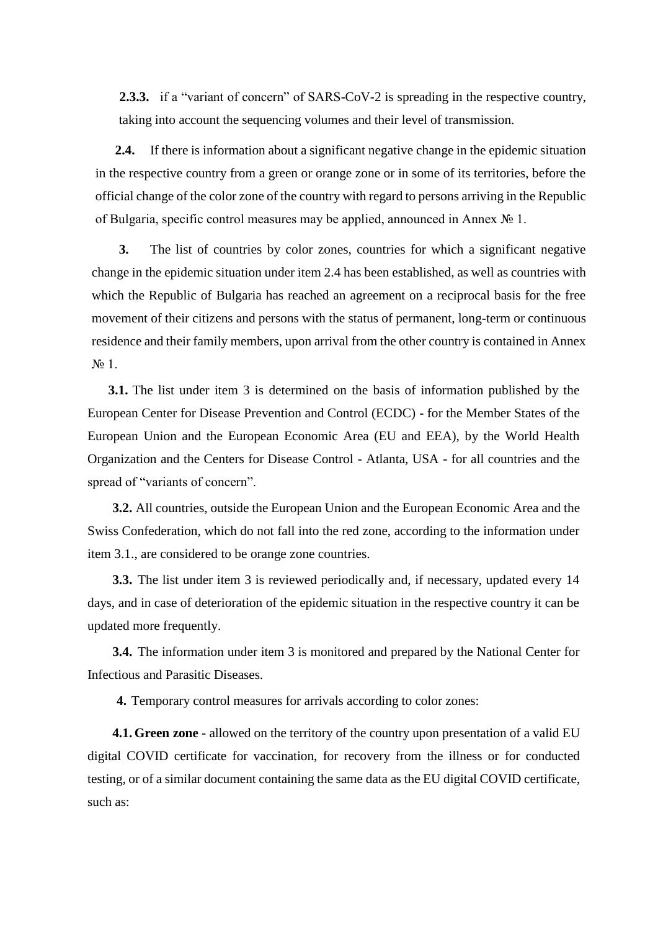**2.3.3.** if a "variant of concern" of SARS-CoV-2 is spreading in the respective country, taking into account the sequencing volumes and their level of transmission.

**2.4.** If there is information about a significant negative change in the epidemic situation in the respective country from a green or orange zone or in some of its territories, before the official change of the color zone of the country with regard to persons arriving in the Republic of Bulgaria, specific control measures may be applied, announced in Annex № 1.

**3.** The list of countries by color zones, countries for which a significant negative change in the epidemic situation under item 2.4 has been established, as well as countries with which the Republic of Bulgaria has reached an agreement on a reciprocal basis for the free movement of their citizens and persons with the status of permanent, long-term or continuous residence and their family members, upon arrival from the other country is contained in Annex № 1.

**3.1.** The list under item 3 is determined on the basis of information published by the European Center for Disease Prevention and Control (ECDC) - for the Member States of the European Union and the European Economic Area (EU and EEA), by the World Health Organization and the Centers for Disease Control - Atlanta, USA - for all countries and the spread of "variants of concern".

**3.2.** All countries, outside the European Union and the European Economic Area and the Swiss Confederation, which do not fall into the red zone, according to the information under item 3.1., are considered to be orange zone countries.

**3.3.** The list under item 3 is reviewed periodically and, if necessary, updated every 14 days, and in case of deterioration of the epidemic situation in the respective country it can be updated more frequently.

**3.4.** The information under item 3 is monitored and prepared by the National Center for Infectious and Parasitic Diseases.

**4.** Temporary control measures for arrivals according to color zones:

**4.1. Green zone** - allowed on the territory of the country upon presentation of a valid EU digital COVID certificate for vaccination, for recovery from the illness or for conducted testing, or of a similar document containing the same data as the EU digital COVID certificate, such as: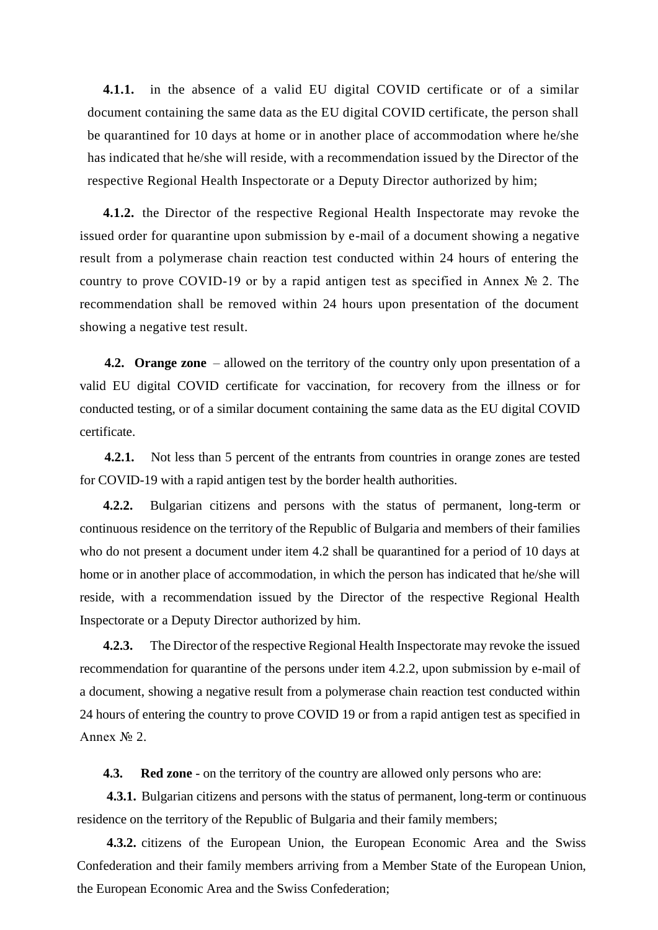**4.1.1.** in the absence of a valid EU digital COVID certificate or of a similar document containing the same data as the EU digital COVID certificate, the person shall be quarantined for 10 days at home or in another place of accommodation where he/she has indicated that he/she will reside, with a recommendation issued by the Director of the respective Regional Health Inspectorate or a Deputy Director authorized by him;

**4.1.2.** the Director of the respective Regional Health Inspectorate may revoke the issued order for quarantine upon submission by e-mail of a document showing a negative result from a polymerase chain reaction test conducted within 24 hours of entering the country to prove COVID-19 or by a rapid antigen test as specified in Annex № 2. The recommendation shall be removed within 24 hours upon presentation of the document showing a negative test result.

**4.2. Orange zone** – allowed on the territory of the country only upon presentation of a valid EU digital COVID certificate for vaccination, for recovery from the illness or for conducted testing, or of a similar document containing the same data as the EU digital COVID certificate.

**4.2.1.** Not less than 5 percent of the entrants from countries in orange zones are tested for COVID-19 with a rapid antigen test by the border health authorities.

**4.2.2.** Bulgarian citizens and persons with the status of permanent, long-term or continuous residence on the territory of the Republic of Bulgaria and members of their families who do not present a document under item 4.2 shall be quarantined for a period of 10 days at home or in another place of accommodation, in which the person has indicated that he/she will reside, with a recommendation issued by the Director of the respective Regional Health Inspectorate or a Deputy Director authorized by him.

**4.2.3.** The Director of the respective Regional Health Inspectorate may revoke the issued recommendation for quarantine of the persons under item 4.2.2, upon submission by e-mail of a document, showing a negative result from a polymerase chain reaction test conducted within 24 hours of entering the country to prove COVID 19 or from a rapid antigen test as specified in Annex № 2.

**4.3. Red zone** - on the territory of the country are allowed only persons who are:

**4.3.1.** Bulgarian citizens and persons with the status of permanent, long-term or continuous residence on the territory of the Republic of Bulgaria and their family members;

**4.3.2.** citizens of the European Union, the European Economic Area and the Swiss Confederation and their family members arriving from a Member State of the European Union, the European Economic Area and the Swiss Confederation;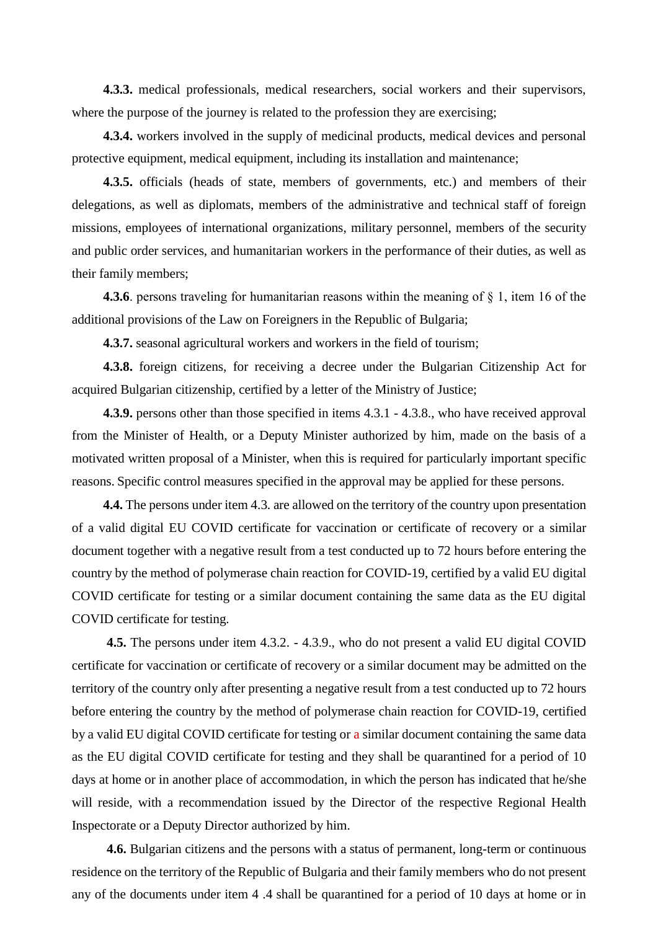**4.3.3.** medical professionals, medical researchers, social workers and their supervisors, where the purpose of the journey is related to the profession they are exercising;

**4.3.4.** workers involved in the supply of medicinal products, medical devices and personal protective equipment, medical equipment, including its installation and maintenance;

**4.3.5.** officials (heads of state, members of governments, etc.) and members of their delegations, as well as diplomats, members of the administrative and technical staff of foreign missions, employees of international organizations, military personnel, members of the security and public order services, and humanitarian workers in the performance of their duties, as well as their family members;

**4.3.6**. persons traveling for humanitarian reasons within the meaning of § 1, item 16 of the additional provisions of the Law on Foreigners in the Republic of Bulgaria;

**4.3.7.** seasonal agricultural workers and workers in the field of tourism;

**4.3.8.** foreign citizens, for receiving a decree under the Bulgarian Citizenship Act for acquired Bulgarian citizenship, certified by a letter of the Ministry of Justice;

**4.3.9.** persons other than those specified in items 4.3.1 - 4.3.8., who have received approval from the Minister of Health, or a Deputy Minister authorized by him, made on the basis of a motivated written proposal of a Minister, when this is required for particularly important specific reasons. Specific control measures specified in the approval may be applied for these persons.

**4.4.** The persons under item 4.3. are allowed on the territory of the country upon presentation of a valid digital EU COVID certificate for vaccination or certificate of recovery or a similar document together with a negative result from a test conducted up to 72 hours before entering the country by the method of polymerase chain reaction for COVID-19, certified by a valid EU digital COVID certificate for testing or a similar document containing the same data as the EU digital COVID certificate for testing.

**4.5.** The persons under item 4.3.2. - 4.3.9., who do not present a valid EU digital COVID certificate for vaccination or certificate of recovery or a similar document may be admitted on the territory of the country only after presenting a negative result from a test conducted up to 72 hours before entering the country by the method of polymerase chain reaction for COVID-19, certified by a valid EU digital COVID certificate for testing or a similar document containing the same data as the EU digital COVID certificate for testing and they shall be quarantined for a period of 10 days at home or in another place of accommodation, in which the person has indicated that he/she will reside, with a recommendation issued by the Director of the respective Regional Health Inspectorate or a Deputy Director authorized by him.

**4.6.** Bulgarian citizens and the persons with a status of permanent, long-term or continuous residence on the territory of the Republic of Bulgaria and their family members who do not present any of the documents under item 4 .4 shall be quarantined for a period of 10 days at home or in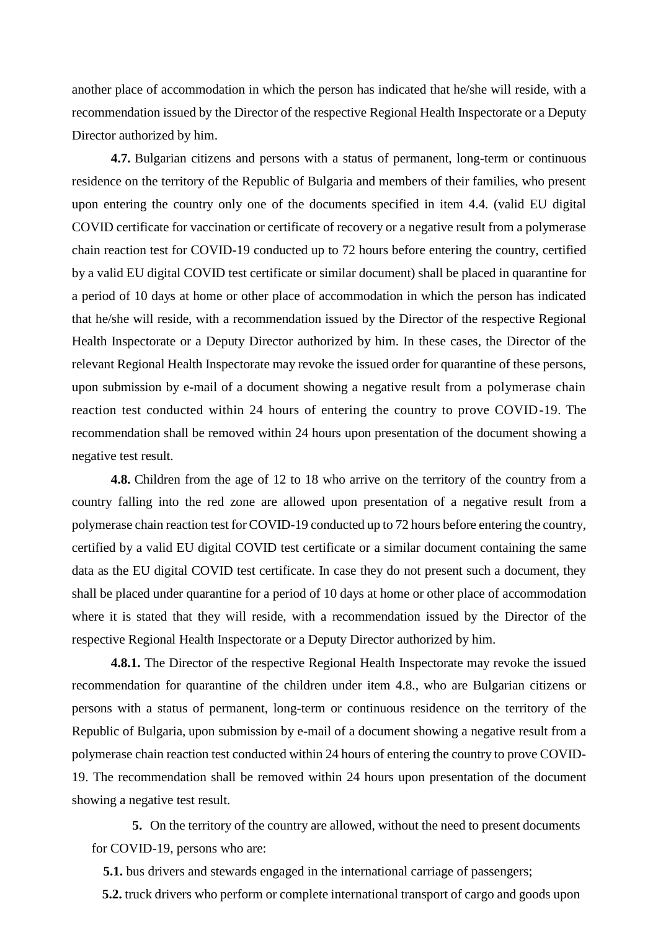another place of accommodation in which the person has indicated that he/she will reside, with a recommendation issued by the Director of the respective Regional Health Inspectorate or a Deputy Director authorized by him.

**4.7.** Bulgarian citizens and persons with a status of permanent, long-term or continuous residence on the territory of the Republic of Bulgaria and members of their families, who present upon entering the country only one of the documents specified in item 4.4. (valid EU digital COVID certificate for vaccination or certificate of recovery or a negative result from a polymerase chain reaction test for COVID-19 conducted up to 72 hours before entering the country, certified by a valid EU digital COVID test certificate or similar document) shall be placed in quarantine for a period of 10 days at home or other place of accommodation in which the person has indicated that he/she will reside, with a recommendation issued by the Director of the respective Regional Health Inspectorate or a Deputy Director authorized by him. In these cases, the Director of the relevant Regional Health Inspectorate may revoke the issued order for quarantine of these persons, upon submission by e-mail of a document showing a negative result from a polymerase chain reaction test conducted within 24 hours of entering the country to prove COVID-19. The recommendation shall be removed within 24 hours upon presentation of the document showing a negative test result.

**4.8.** Children from the age of 12 to 18 who arrive on the territory of the country from a country falling into the red zone are allowed upon presentation of a negative result from a polymerase chain reaction test for COVID-19 conducted up to 72 hours before entering the country, certified by a valid EU digital COVID test certificate or a similar document containing the same data as the EU digital COVID test certificate. In case they do not present such a document, they shall be placed under quarantine for a period of 10 days at home or other place of accommodation where it is stated that they will reside, with a recommendation issued by the Director of the respective Regional Health Inspectorate or a Deputy Director authorized by him.

**4.8.1.** The Director of the respective Regional Health Inspectorate may revoke the issued recommendation for quarantine of the children under item 4.8., who are Bulgarian citizens or persons with a status of permanent, long-term or continuous residence on the territory of the Republic of Bulgaria, upon submission by e-mail of a document showing a negative result from a polymerase chain reaction test conducted within 24 hours of entering the country to prove COVID-19. The recommendation shall be removed within 24 hours upon presentation of the document showing a negative test result.

**5.** On the territory of the country are allowed, without the need to present documents for COVID-19, persons who are:

**5.1.** bus drivers and stewards engaged in the international carriage of passengers;

**5.2.** truck drivers who perform or complete international transport of cargo and goods upon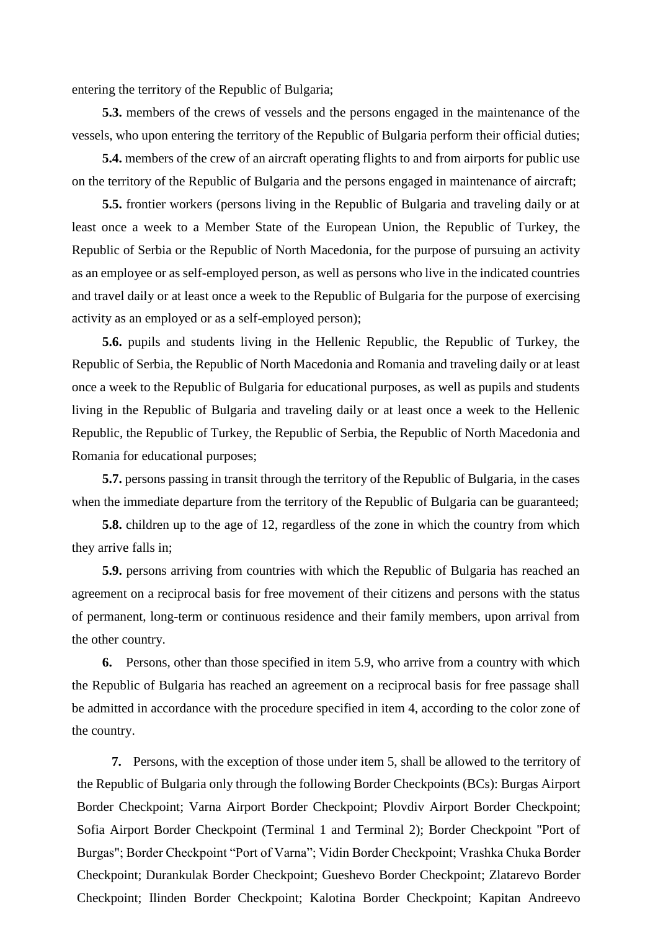entering the territory of the Republic of Bulgaria;

**5.3.** members of the crews of vessels and the persons engaged in the maintenance of the vessels, who upon entering the territory of the Republic of Bulgaria perform their official duties;

**5.4.** members of the crew of an aircraft operating flights to and from airports for public use on the territory of the Republic of Bulgaria and the persons engaged in maintenance of aircraft;

**5.5.** frontier workers (persons living in the Republic of Bulgaria and traveling daily or at least once a week to a Member State of the European Union, the Republic of Turkey, the Republic of Serbia or the Republic of North Macedonia, for the purpose of pursuing an activity as an employee or as self-employed person, as well as persons who live in the indicated countries and travel daily or at least once a week to the Republic of Bulgaria for the purpose of exercising activity as an employed or as a self-employed person);

**5.6.** pupils and students living in the Hellenic Republic, the Republic of Turkey, the Republic of Serbia, the Republic of North Macedonia and Romania and traveling daily or at least once a week to the Republic of Bulgaria for educational purposes, as well as pupils and students living in the Republic of Bulgaria and traveling daily or at least once a week to the Hellenic Republic, the Republic of Turkey, the Republic of Serbia, the Republic of North Macedonia and Romania for educational purposes;

**5.7.** persons passing in transit through the territory of the Republic of Bulgaria, in the cases when the immediate departure from the territory of the Republic of Bulgaria can be guaranteed;

**5.8.** children up to the age of 12, regardless of the zone in which the country from which they arrive falls in;

**5.9.** persons arriving from countries with which the Republic of Bulgaria has reached an agreement on a reciprocal basis for free movement of their citizens and persons with the status of permanent, long-term or continuous residence and their family members, upon arrival from the other country.

**6.** Persons, other than those specified in item 5.9, who arrive from a country with which the Republic of Bulgaria has reached an agreement on a reciprocal basis for free passage shall be admitted in accordance with the procedure specified in item 4, according to the color zone of the country.

**7.** Persons, with the exception of those under item 5, shall be allowed to the territory of the Republic of Bulgaria only through the following Border Checkpoints (BCs): Burgas Airport Border Checkpoint; Varna Airport Border Checkpoint; Plovdiv Airport Border Checkpoint; Sofia Airport Border Checkpoint (Terminal 1 and Terminal 2); Border Checkpoint "Port of Burgas"; Border Checkpoint "Port of Varna"; Vidin Border Checkpoint; Vrashka Chuka Border Checkpoint; Durankulak Border Checkpoint; Gueshevo Border Checkpoint; Zlatarevo Border Checkpoint; Ilinden Border Checkpoint; Kalotina Border Checkpoint; Kapitan Andreevo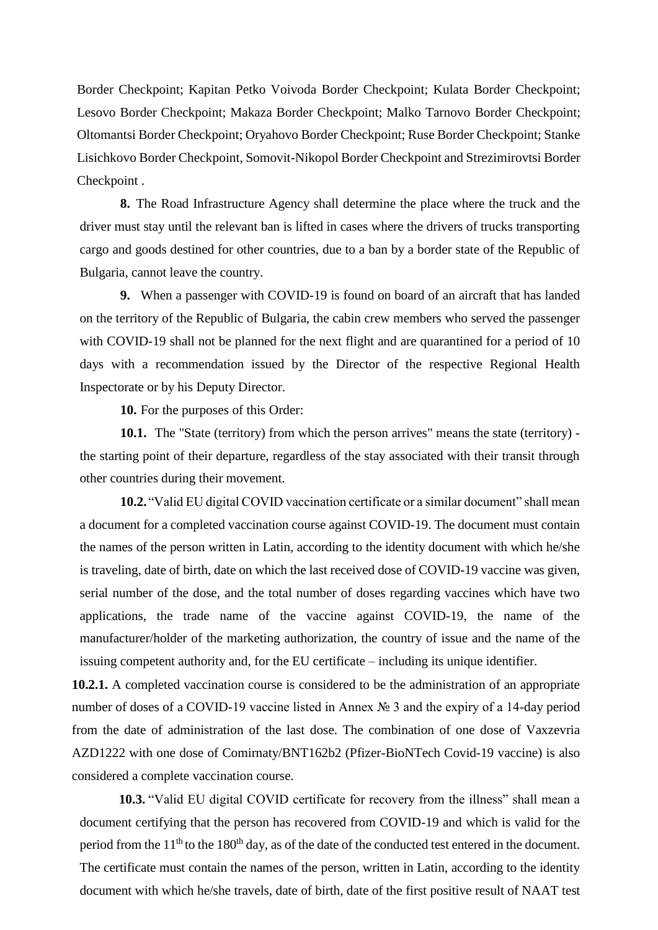Border Checkpoint; Kapitan Petko Voivoda Border Checkpoint; Kulata Border Checkpoint; Lesovo Border Checkpoint; Makaza Border Checkpoint; Malko Tarnovo Border Checkpoint; Oltomantsi Border Checkpoint; Oryahovo Border Checkpoint; Ruse Border Checkpoint; Stanke Lisichkovo Border Checkpoint, Somovit-Nikopol Border Checkpoint and Strezimirovtsi Border Checkpoint .

**8.** The Road Infrastructure Agency shall determine the place where the truck and the driver must stay until the relevant ban is lifted in cases where the drivers of trucks transporting cargo and goods destined for other countries, due to a ban by a border state of the Republic of Bulgaria, cannot leave the country.

**9.** When a passenger with COVID-19 is found on board of an aircraft that has landed on the territory of the Republic of Bulgaria, the cabin crew members who served the passenger with COVID-19 shall not be planned for the next flight and are quarantined for a period of 10 days with a recommendation issued by the Director of the respective Regional Health Inspectorate or by his Deputy Director.

**10.** For the purposes of this Order:

**10.1.** The "State (territory) from which the person arrives" means the state (territory) the starting point of their departure, regardless of the stay associated with their transit through other countries during their movement.

**10.2.**"Valid EU digital COVID vaccination certificate or a similar document" shall mean a document for a completed vaccination course against COVID-19. The document must contain the names of the person written in Latin, according to the identity document with which he/she is traveling, date of birth, date on which the last received dose of COVID-19 vaccine was given, serial number of the dose, and the total number of doses regarding vaccines which have two applications, the trade name of the vaccine against COVID-19, the name of the manufacturer/holder of the marketing authorization, the country of issue and the name of the issuing competent authority and, for the EU certificate – including its unique identifier.

**10.2.1.** A completed vaccination course is considered to be the administration of an appropriate number of doses of a COVID-19 vaccine listed in Annex № 3 and the expiry of a 14-day period from the date of administration of the last dose. The combination of one dose of Vaxzevria AZD1222 with one dose of Comirnaty/BNT162b2 (Pfizer-BioNTech Covid-19 vaccine) is also considered a complete vaccination course.

**10.3.** "Valid EU digital COVID certificate for recovery from the illness" shall mean a document certifying that the person has recovered from COVID-19 and which is valid for the period from the  $11<sup>th</sup>$  to the 180<sup>th</sup> day, as of the date of the conducted test entered in the document. The certificate must contain the names of the person, written in Latin, according to the identity document with which he/she travels, date of birth, date of the first positive result of NAAT test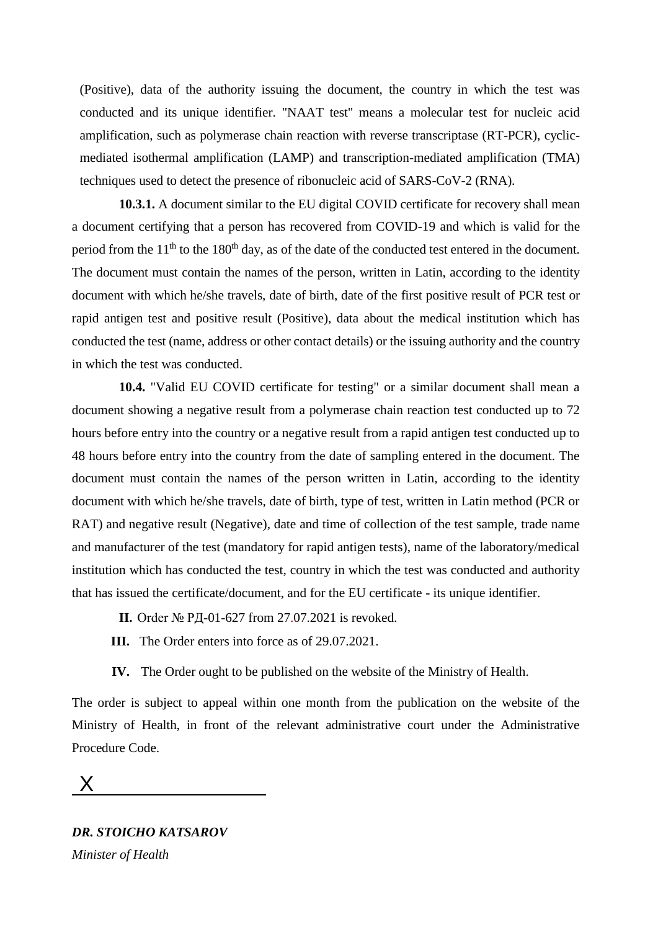(Positive), data of the authority issuing the document, the country in which the test was conducted and its unique identifier. "NAAT test" means a molecular test for nucleic acid amplification, such as polymerase chain reaction with reverse transcriptase (RT-PCR), cyclicmediated isothermal amplification (LAMP) and transcription-mediated amplification (TMA) techniques used to detect the presence of ribonucleic acid of SARS-CoV-2 (RNA).

**10.3.1.** A document similar to the EU digital COVID certificate for recovery shall mean a document certifying that a person has recovered from COVID-19 and which is valid for the period from the  $11<sup>th</sup>$  to the 180<sup>th</sup> day, as of the date of the conducted test entered in the document. The document must contain the names of the person, written in Latin, according to the identity document with which he/she travels, date of birth, date of the first positive result of PCR test or rapid antigen test and positive result (Positive), data about the medical institution which has conducted the test (name, address or other contact details) or the issuing authority and the country in which the test was conducted.

**10.4.** "Valid EU COVID certificate for testing" or a similar document shall mean a document showing a negative result from a polymerase chain reaction test conducted up to 72 hours before entry into the country or a negative result from a rapid antigen test conducted up to 48 hours before entry into the country from the date of sampling entered in the document. The document must contain the names of the person written in Latin, according to the identity document with which he/she travels, date of birth, type of test, written in Latin method (PCR or RAT) and negative result (Negative), date and time of collection of the test sample, trade name and manufacturer of the test (mandatory for rapid antigen tests), name of the laboratory/medical institution which has conducted the test, country in which the test was conducted and authority that has issued the certificate/document, and for the EU certificate - its unique identifier.

- **II.** Order № РД-01-627 from 27.07.2021 is revoked.
- **III.** The Order enters into force as of 29.07.2021.
- **IV.** The Order ought to be published on the website of the Ministry of Health.

The order is subject to appeal within one month from the publication on the website of the Ministry of Health, in front of the relevant administrative court under the Administrative Procedure Code.

# X

*DR. STOICHO KATSAROV Minister of Health*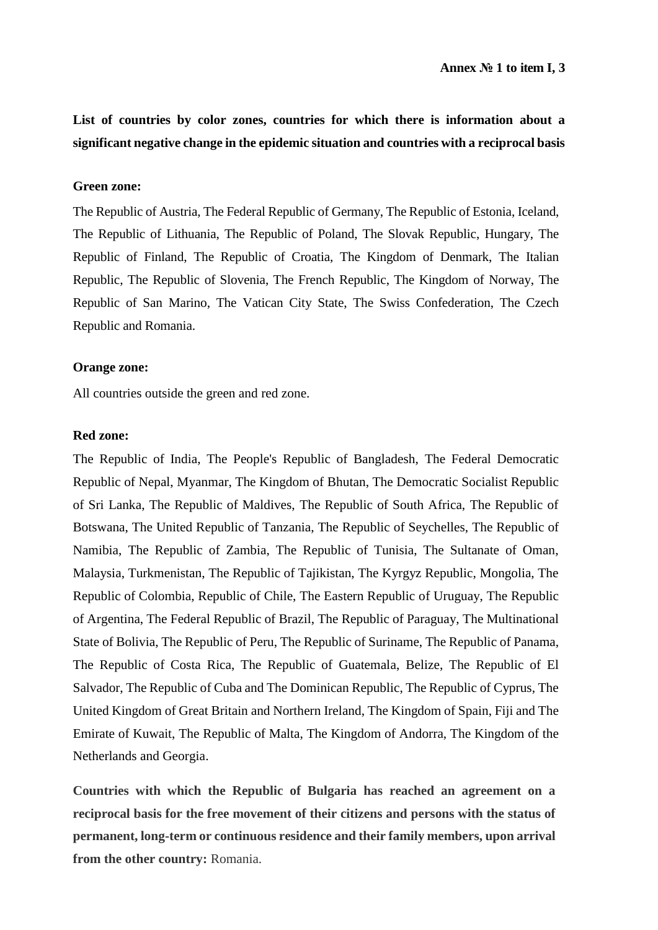**List of countries by color zones, countries for which there is information about a significant negative change in the epidemic situation and countries with a reciprocal basis**

### **Green zone:**

The Republic of Austria, The Federal Republic of Germany, The Republic of Estonia, Iceland, The Republic of Lithuania, The Republic of Poland, The Slovak Republic, Hungary, The Republic of Finland, The Republic of Croatia, The Kingdom of Denmark, The Italian Republic, The Republic of Slovenia, The French Republic, The Kingdom of Norway, The Republic of San Marino, The Vatican City State, The Swiss Confederation, The Czech Republic and Romania.

### **Orange zone:**

All countries outside the green and red zone.

### **Red zone:**

The Republic of India, The People's Republic of Bangladesh, The Federal Democratic Republic of Nepal, Myanmar, The Kingdom of Bhutan, The Democratic Socialist Republic of Sri Lanka, The Republic of Maldives, The Republic of South Africa, The Republic of Botswana, The United Republic of Tanzania, The Republic of Seychelles, The Republic of Namibia, The Republic of Zambia, The Republic of Tunisia, The Sultanate of Oman, Malaysia, Turkmenistan, The Republic of Tajikistan, The Kyrgyz Republic, Mongolia, The Republic of Colombia, Republic of Chile, The Eastern Republic of Uruguay, The Republic of Argentina, The Federal Republic of Brazil, The Republic of Paraguay, The Multinational State of Bolivia, The Republic of Peru, The Republic of Suriname, The Republic of Panama, The Republic of Costa Rica, The Republic of Guatemala, Belize, The Republic of El Salvador, The Republic of Cuba and The Dominican Republic, The Republic of Cyprus, The United Kingdom of Great Britain and Northern Ireland, The Kingdom of Spain, Fiji and The Emirate of Kuwait, The Republic of Malta, The Kingdom of Andorra, The Kingdom of the Netherlands and Georgia.

**Countries with which the Republic of Bulgaria has reached an agreement on a reciprocal basis for the free movement of their citizens and persons with the status of permanent, long-term or continuous residence and their family members, upon arrival from the other country:** Romania.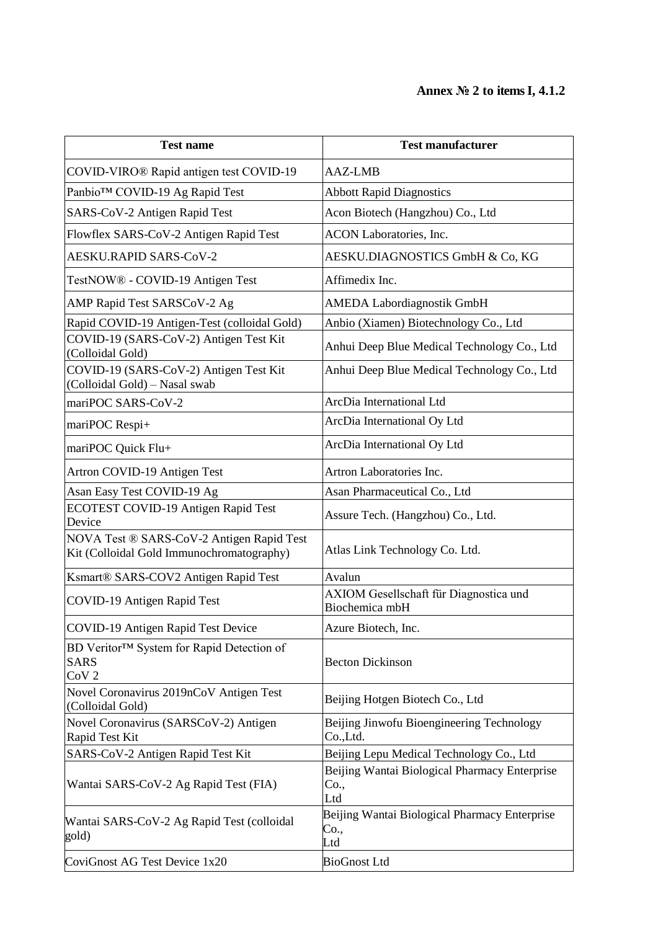# **Annex № 2 to items I, 4.1.2**

| <b>Test name</b>                                                                       | <b>Test manufacturer</b>                                     |  |
|----------------------------------------------------------------------------------------|--------------------------------------------------------------|--|
| COVID-VIRO® Rapid antigen test COVID-19                                                | <b>AAZ-LMB</b>                                               |  |
| Panbio™ COVID-19 Ag Rapid Test                                                         | <b>Abbott Rapid Diagnostics</b>                              |  |
| SARS-CoV-2 Antigen Rapid Test                                                          | Acon Biotech (Hangzhou) Co., Ltd                             |  |
| Flowflex SARS-CoV-2 Antigen Rapid Test                                                 | ACON Laboratories, Inc.                                      |  |
| <b>AESKU.RAPID SARS-CoV-2</b>                                                          | AESKU.DIAGNOSTICS GmbH & Co, KG                              |  |
| TestNOW® - COVID-19 Antigen Test                                                       | Affimedix Inc.                                               |  |
| AMP Rapid Test SARSCoV-2 Ag                                                            | <b>AMEDA Labordiagnostik GmbH</b>                            |  |
| Rapid COVID-19 Antigen-Test (colloidal Gold)                                           | Anbio (Xiamen) Biotechnology Co., Ltd                        |  |
| COVID-19 (SARS-CoV-2) Antigen Test Kit<br>(Colloidal Gold)                             | Anhui Deep Blue Medical Technology Co., Ltd                  |  |
| COVID-19 (SARS-CoV-2) Antigen Test Kit<br>(Colloidal Gold) - Nasal swab                | Anhui Deep Blue Medical Technology Co., Ltd                  |  |
| mariPOC SARS-CoV-2                                                                     | ArcDia International Ltd                                     |  |
| mariPOC Respi+                                                                         | ArcDia International Oy Ltd                                  |  |
| mariPOC Quick Flu+                                                                     | ArcDia International Oy Ltd                                  |  |
| Artron COVID-19 Antigen Test                                                           | Artron Laboratories Inc.                                     |  |
| Asan Easy Test COVID-19 Ag                                                             | Asan Pharmaceutical Co., Ltd                                 |  |
| ECOTEST COVID-19 Antigen Rapid Test<br>Device                                          | Assure Tech. (Hangzhou) Co., Ltd.                            |  |
| NOVA Test ® SARS-CoV-2 Antigen Rapid Test<br>Kit (Colloidal Gold Immunochromatography) | Atlas Link Technology Co. Ltd.                               |  |
| Ksmart® SARS-COV2 Antigen Rapid Test                                                   | Avalun                                                       |  |
| COVID-19 Antigen Rapid Test                                                            | AXIOM Gesellschaft für Diagnostica und<br>Biochemica mbH     |  |
| COVID-19 Antigen Rapid Test Device                                                     | Azure Biotech, Inc.                                          |  |
| BD Veritor™ System for Rapid Detection of<br><b>SARS</b><br>CoV <sub>2</sub>           | <b>Becton Dickinson</b>                                      |  |
| Novel Coronavirus 2019nCoV Antigen Test<br>(Colloidal Gold)                            | Beijing Hotgen Biotech Co., Ltd                              |  |
| Novel Coronavirus (SARSCoV-2) Antigen<br>Rapid Test Kit                                | Beijing Jinwofu Bioengineering Technology<br>Co.,Ltd.        |  |
| SARS-CoV-2 Antigen Rapid Test Kit                                                      | Beijing Lepu Medical Technology Co., Ltd                     |  |
| Wantai SARS-CoV-2 Ag Rapid Test (FIA)                                                  | Beijing Wantai Biological Pharmacy Enterprise<br>Co.,<br>Ltd |  |
| Wantai SARS-CoV-2 Ag Rapid Test (colloidal<br>gold)                                    | Beijing Wantai Biological Pharmacy Enterprise<br>Co.,<br>Ltd |  |
| CoviGnost AG Test Device 1x20                                                          | <b>BioGnost Ltd</b>                                          |  |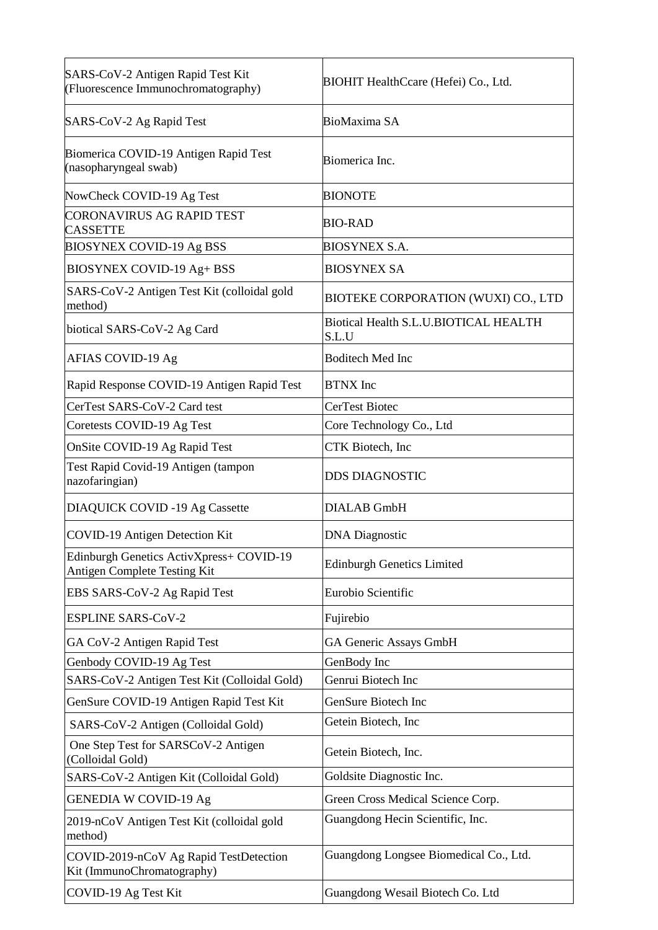| SARS-CoV-2 Antigen Rapid Test Kit<br>(Fluorescence Immunochromatography) | BIOHIT HealthCcare (Hefei) Co., Ltd.           |  |
|--------------------------------------------------------------------------|------------------------------------------------|--|
| SARS-CoV-2 Ag Rapid Test                                                 | <b>BioMaxima SA</b>                            |  |
| Biomerica COVID-19 Antigen Rapid Test<br>(nasopharyngeal swab)           | Biomerica Inc.                                 |  |
| NowCheck COVID-19 Ag Test                                                | <b>BIONOTE</b>                                 |  |
| <b>CORONAVIRUS AG RAPID TEST</b><br><b>CASSETTE</b>                      | <b>BIO-RAD</b>                                 |  |
| <b>BIOSYNEX COVID-19 Ag BSS</b>                                          | <b>BIOSYNEX S.A.</b>                           |  |
| BIOSYNEX COVID-19 Ag+ BSS                                                | <b>BIOSYNEX SA</b>                             |  |
| SARS-CoV-2 Antigen Test Kit (colloidal gold<br>method)                   | BIOTEKE CORPORATION (WUXI) CO., LTD            |  |
| biotical SARS-CoV-2 Ag Card                                              | Biotical Health S.L.U.BIOTICAL HEALTH<br>S.L.U |  |
| AFIAS COVID-19 Ag                                                        | <b>Boditech Med Inc</b>                        |  |
| Rapid Response COVID-19 Antigen Rapid Test                               | <b>BTNX</b> Inc                                |  |
| CerTest SARS-CoV-2 Card test                                             | CerTest Biotec                                 |  |
| Coretests COVID-19 Ag Test                                               | Core Technology Co., Ltd                       |  |
| OnSite COVID-19 Ag Rapid Test                                            | CTK Biotech, Inc                               |  |
| Test Rapid Covid-19 Antigen (tampon<br>nazofaringian)                    | <b>DDS DIAGNOSTIC</b>                          |  |
| <b>DIAQUICK COVID -19 Ag Cassette</b>                                    | <b>DIALAB</b> GmbH                             |  |
| COVID-19 Antigen Detection Kit                                           | <b>DNA</b> Diagnostic                          |  |
| Edinburgh Genetics ActivXpress+ COVID-19<br>Antigen Complete Testing Kit | <b>Edinburgh Genetics Limited</b>              |  |
| EBS SARS-CoV-2 Ag Rapid Test                                             | Eurobio Scientific                             |  |
| <b>ESPLINE SARS-CoV-2</b>                                                | Fujirebio                                      |  |
| GA CoV-2 Antigen Rapid Test                                              | GA Generic Assays GmbH                         |  |
| Genbody COVID-19 Ag Test                                                 | GenBody Inc                                    |  |
| SARS-CoV-2 Antigen Test Kit (Colloidal Gold)                             | Genrui Biotech Inc                             |  |
| GenSure COVID-19 Antigen Rapid Test Kit                                  | GenSure Biotech Inc                            |  |
| SARS-CoV-2 Antigen (Colloidal Gold)                                      | Getein Biotech, Inc                            |  |
| One Step Test for SARSCoV-2 Antigen<br>(Colloidal Gold)                  | Getein Biotech, Inc.                           |  |
| SARS-CoV-2 Antigen Kit (Colloidal Gold)                                  | Goldsite Diagnostic Inc.                       |  |
| <b>GENEDIA W COVID-19 Ag</b>                                             | Green Cross Medical Science Corp.              |  |
| 2019-nCoV Antigen Test Kit (colloidal gold<br>method)                    | Guangdong Hecin Scientific, Inc.               |  |
| COVID-2019-nCoV Ag Rapid TestDetection<br>Kit (ImmunoChromatography)     | Guangdong Longsee Biomedical Co., Ltd.         |  |
| COVID-19 Ag Test Kit                                                     | Guangdong Wesail Biotech Co. Ltd               |  |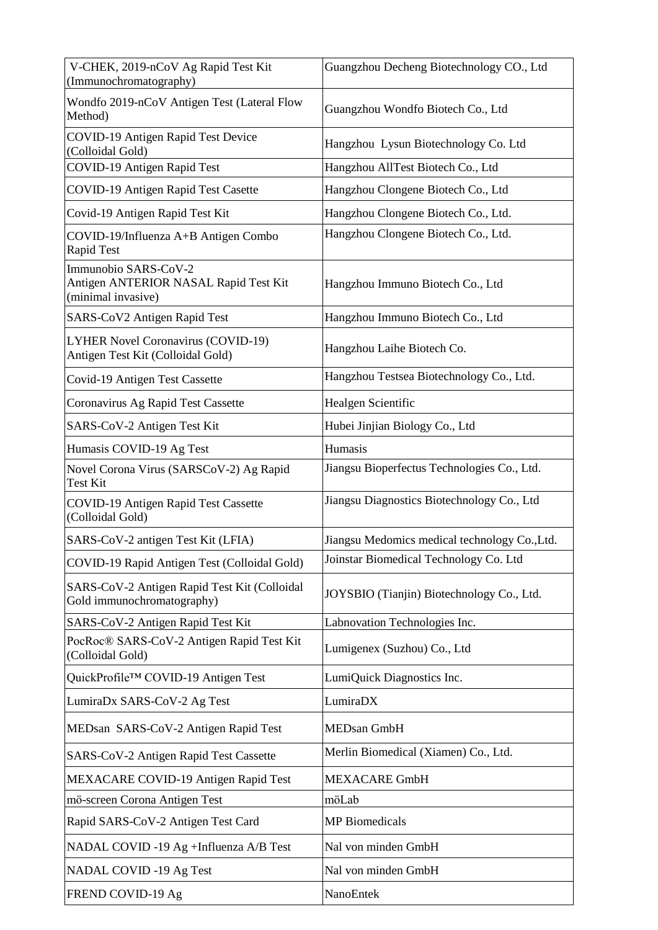| V-CHEK, 2019-nCoV Ag Rapid Test Kit<br>(Immunochromatography)                       | Guangzhou Decheng Biotechnology CO., Ltd      |  |
|-------------------------------------------------------------------------------------|-----------------------------------------------|--|
| Wondfo 2019-nCoV Antigen Test (Lateral Flow<br>Method)                              | Guangzhou Wondfo Biotech Co., Ltd             |  |
| COVID-19 Antigen Rapid Test Device<br>(Colloidal Gold)                              | Hangzhou Lysun Biotechnology Co. Ltd          |  |
| COVID-19 Antigen Rapid Test                                                         | Hangzhou AllTest Biotech Co., Ltd             |  |
| COVID-19 Antigen Rapid Test Casette                                                 | Hangzhou Clongene Biotech Co., Ltd            |  |
| Covid-19 Antigen Rapid Test Kit                                                     | Hangzhou Clongene Biotech Co., Ltd.           |  |
| COVID-19/Influenza A+B Antigen Combo<br>Rapid Test                                  | Hangzhou Clongene Biotech Co., Ltd.           |  |
| Immunobio SARS-CoV-2<br>Antigen ANTERIOR NASAL Rapid Test Kit<br>(minimal invasive) | Hangzhou Immuno Biotech Co., Ltd              |  |
| SARS-CoV2 Antigen Rapid Test                                                        | Hangzhou Immuno Biotech Co., Ltd              |  |
| LYHER Novel Coronavirus (COVID-19)<br>Antigen Test Kit (Colloidal Gold)             | Hangzhou Laihe Biotech Co.                    |  |
| Covid-19 Antigen Test Cassette                                                      | Hangzhou Testsea Biotechnology Co., Ltd.      |  |
| Coronavirus Ag Rapid Test Cassette                                                  | Healgen Scientific                            |  |
| SARS-CoV-2 Antigen Test Kit                                                         | Hubei Jinjian Biology Co., Ltd                |  |
| Humasis COVID-19 Ag Test                                                            | Humasis                                       |  |
| Novel Corona Virus (SARSCoV-2) Ag Rapid<br><b>Test Kit</b>                          | Jiangsu Bioperfectus Technologies Co., Ltd.   |  |
| <b>COVID-19 Antigen Rapid Test Cassette</b><br>(Colloidal Gold)                     | Jiangsu Diagnostics Biotechnology Co., Ltd    |  |
| SARS-CoV-2 antigen Test Kit (LFIA)                                                  | Jiangsu Medomics medical technology Co., Ltd. |  |
| COVID-19 Rapid Antigen Test (Colloidal Gold)                                        | Joinstar Biomedical Technology Co. Ltd        |  |
| SARS-CoV-2 Antigen Rapid Test Kit (Colloidal<br>Gold immunochromatography)          | JOYSBIO (Tianjin) Biotechnology Co., Ltd.     |  |
| SARS-CoV-2 Antigen Rapid Test Kit                                                   | Labnovation Technologies Inc.                 |  |
| PocRoc® SARS-CoV-2 Antigen Rapid Test Kit<br>(Colloidal Gold)                       | Lumigenex (Suzhou) Co., Ltd                   |  |
| QuickProfile™ COVID-19 Antigen Test                                                 | LumiQuick Diagnostics Inc.                    |  |
| LumiraDx SARS-CoV-2 Ag Test                                                         | LumiraDX                                      |  |
| MEDsan SARS-CoV-2 Antigen Rapid Test                                                | <b>MEDsan GmbH</b>                            |  |
| SARS-CoV-2 Antigen Rapid Test Cassette                                              | Merlin Biomedical (Xiamen) Co., Ltd.          |  |
| MEXACARE COVID-19 Antigen Rapid Test                                                | <b>MEXACARE GmbH</b>                          |  |
| mö-screen Corona Antigen Test                                                       | möLab                                         |  |
| Rapid SARS-CoV-2 Antigen Test Card                                                  | <b>MP</b> Biomedicals                         |  |
| NADAL COVID -19 Ag +Influenza A/B Test                                              | Nal von minden GmbH                           |  |
| <b>NADAL COVID -19 Ag Test</b>                                                      | Nal von minden GmbH                           |  |
| FREND COVID-19 Ag                                                                   | NanoEntek                                     |  |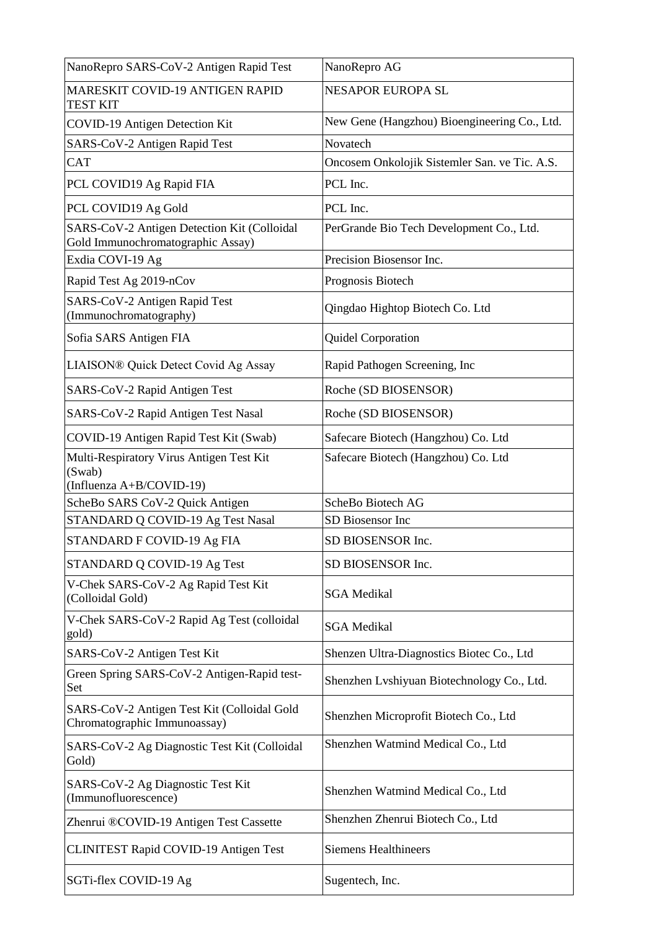| NanoRepro SARS-CoV-2 Antigen Rapid Test                                          | NanoRepro AG                                  |  |
|----------------------------------------------------------------------------------|-----------------------------------------------|--|
| <b>MARESKIT COVID-19 ANTIGEN RAPID</b><br><b>TEST KIT</b>                        | <b>NESAPOR EUROPA SL</b>                      |  |
| COVID-19 Antigen Detection Kit                                                   | New Gene (Hangzhou) Bioengineering Co., Ltd.  |  |
| SARS-CoV-2 Antigen Rapid Test                                                    | Novatech                                      |  |
| <b>CAT</b>                                                                       | Oncosem Onkolojik Sistemler San. ve Tic. A.S. |  |
| PCL COVID19 Ag Rapid FIA                                                         | PCL Inc.                                      |  |
| PCL COVID19 Ag Gold                                                              | PCL Inc.                                      |  |
| SARS-CoV-2 Antigen Detection Kit (Colloidal<br>Gold Immunochromatographic Assay) | PerGrande Bio Tech Development Co., Ltd.      |  |
| Exdia COVI-19 Ag                                                                 | Precision Biosensor Inc.                      |  |
| Rapid Test Ag 2019-nCov                                                          | Prognosis Biotech                             |  |
| SARS-CoV-2 Antigen Rapid Test<br>(Immunochromatography)                          | Qingdao Hightop Biotech Co. Ltd               |  |
| Sofia SARS Antigen FIA                                                           | <b>Quidel Corporation</b>                     |  |
| LIAISON® Quick Detect Covid Ag Assay                                             | Rapid Pathogen Screening, Inc                 |  |
| SARS-CoV-2 Rapid Antigen Test                                                    | Roche (SD BIOSENSOR)                          |  |
| SARS-CoV-2 Rapid Antigen Test Nasal                                              | Roche (SD BIOSENSOR)                          |  |
| COVID-19 Antigen Rapid Test Kit (Swab)                                           | Safecare Biotech (Hangzhou) Co. Ltd           |  |
| Multi-Respiratory Virus Antigen Test Kit                                         | Safecare Biotech (Hangzhou) Co. Ltd           |  |
| (Swab)<br>(Influenza A+B/COVID-19)                                               |                                               |  |
| ScheBo SARS CoV-2 Quick Antigen                                                  | ScheBo Biotech AG                             |  |
| STANDARD Q COVID-19 Ag Test Nasal                                                | SD Biosensor Inc                              |  |
| STANDARD F COVID-19 Ag FIA                                                       | SD BIOSENSOR Inc.                             |  |
| STANDARD Q COVID-19 Ag Test                                                      | SD BIOSENSOR Inc.                             |  |
| V-Chek SARS-CoV-2 Ag Rapid Test Kit<br>(Colloidal Gold)                          | <b>SGA</b> Medikal                            |  |
| V-Chek SARS-CoV-2 Rapid Ag Test (colloidal<br>gold)                              | <b>SGA</b> Medikal                            |  |
| SARS-CoV-2 Antigen Test Kit                                                      | Shenzen Ultra-Diagnostics Biotec Co., Ltd     |  |
| Green Spring SARS-CoV-2 Antigen-Rapid test-<br>Set                               | Shenzhen Lvshiyuan Biotechnology Co., Ltd.    |  |
| SARS-CoV-2 Antigen Test Kit (Colloidal Gold<br>Chromatographic Immunoassay)      | Shenzhen Microprofit Biotech Co., Ltd         |  |
| SARS-CoV-2 Ag Diagnostic Test Kit (Colloidal<br>Gold)                            | Shenzhen Watmind Medical Co., Ltd             |  |
| SARS-CoV-2 Ag Diagnostic Test Kit<br>(Immunofluorescence)                        | Shenzhen Watmind Medical Co., Ltd             |  |
| Zhenrui ®COVID-19 Antigen Test Cassette                                          | Shenzhen Zhenrui Biotech Co., Ltd             |  |
| CLINITEST Rapid COVID-19 Antigen Test                                            | <b>Siemens Healthineers</b>                   |  |
| SGTi-flex COVID-19 Ag                                                            | Sugentech, Inc.                               |  |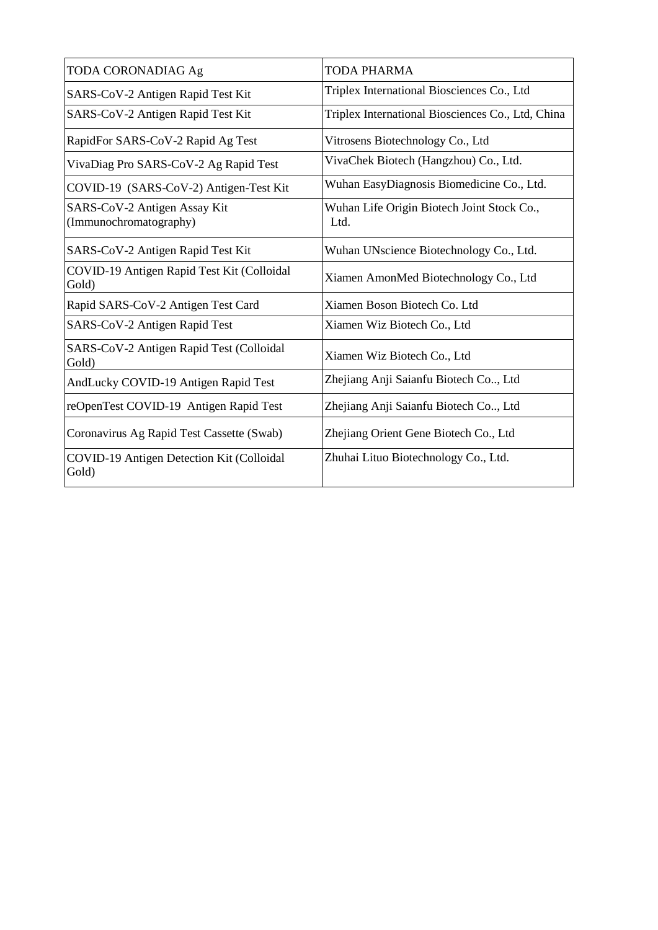| <b>TODA CORONADIAG Ag</b>                              | TODA PHARMA                                        |  |
|--------------------------------------------------------|----------------------------------------------------|--|
| SARS-CoV-2 Antigen Rapid Test Kit                      | Triplex International Biosciences Co., Ltd         |  |
| SARS-CoV-2 Antigen Rapid Test Kit                      | Triplex International Biosciences Co., Ltd, China  |  |
| RapidFor SARS-CoV-2 Rapid Ag Test                      | Vitrosens Biotechnology Co., Ltd                   |  |
| VivaDiag Pro SARS-CoV-2 Ag Rapid Test                  | VivaChek Biotech (Hangzhou) Co., Ltd.              |  |
| COVID-19 (SARS-CoV-2) Antigen-Test Kit                 | Wuhan EasyDiagnosis Biomedicine Co., Ltd.          |  |
| SARS-CoV-2 Antigen Assay Kit<br>(Immunochromatography) | Wuhan Life Origin Biotech Joint Stock Co.,<br>Ltd. |  |
| SARS-CoV-2 Antigen Rapid Test Kit                      | Wuhan UNscience Biotechnology Co., Ltd.            |  |
| COVID-19 Antigen Rapid Test Kit (Colloidal<br>Gold)    | Xiamen AmonMed Biotechnology Co., Ltd              |  |
| Rapid SARS-CoV-2 Antigen Test Card                     | Xiamen Boson Biotech Co. Ltd                       |  |
| SARS-CoV-2 Antigen Rapid Test                          | Xiamen Wiz Biotech Co., Ltd                        |  |
| SARS-CoV-2 Antigen Rapid Test (Colloidal<br>Gold)      | Xiamen Wiz Biotech Co., Ltd                        |  |
| AndLucky COVID-19 Antigen Rapid Test                   | Zhejiang Anji Saianfu Biotech Co, Ltd              |  |
| reOpenTest COVID-19 Antigen Rapid Test                 | Zhejiang Anji Saianfu Biotech Co, Ltd              |  |
| Coronavirus Ag Rapid Test Cassette (Swab)              | Zhejiang Orient Gene Biotech Co., Ltd              |  |
| COVID-19 Antigen Detection Kit (Colloidal<br>Gold)     | Zhuhai Lituo Biotechnology Co., Ltd.               |  |